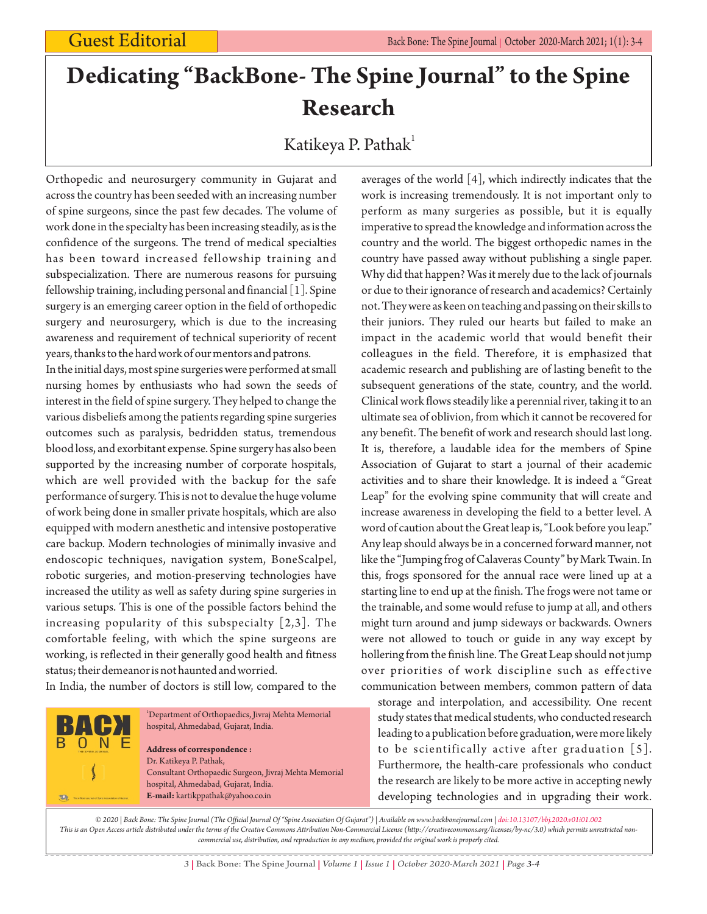# **Dedicating "BackBone- The Spine Journal" to the Spine Research**

## Katikeya P. Pathak $^{\rm l}$

Orthopedic and neurosurgery community in Gujarat and across the country has been seeded with an increasing number of spine surgeons, since the past few decades. The volume of work done in the specialty has been increasing steadily, as is the confidence of the surgeons. The trend of medical specialties has been toward increased fellowship training and subspecialization. There are numerous reasons for pursuing fellowship training, including personal and financial [1]. Spine surgery is an emerging career option in the field of orthopedic surgery and neurosurgery, which is due to the increasing awareness and requirement of technical superiority of recent years, thanks to the hard work of our mentors and patrons.

In the initial days, most spine surgeries were performed at small nursing homes by enthusiasts who had sown the seeds of interest in the field of spine surgery. They helped to change the various disbeliefs among the patients regarding spine surgeries outcomes such as paralysis, bedridden status, tremendous blood loss, and exorbitant expense. Spine surgery has also been supported by the increasing number of corporate hospitals, which are well provided with the backup for the safe performance of surgery. This is not to devalue the huge volume of work being done in smaller private hospitals, which are also equipped with modern anesthetic and intensive postoperative care backup. Modern technologies of minimally invasive and endoscopic techniques, navigation system, BoneScalpel, robotic surgeries, and motion-preserving technologies have increased the utility as well as safety during spine surgeries in various setups. This is one of the possible factors behind the increasing popularity of this subspecialty [2,3]. The comfortable feeling, with which the spine surgeons are working, is reflected in their generally good health and fitness status; their demeanor is not haunted and worried.

In India, the number of doctors is still low, compared to the

 $0 N$ 

 $\overline{\mathcal{D}}$ 

<sup>1</sup>Department of Orthopaedics, Jivraj Mehta Memorial hospital, Ahmedabad, Gujarat, India. **Address of correspondence :** Dr. Katikeya P. Pathak, Consultant Orthopaedic Surgeon, Jivraj Mehta Memorial hospital, Ahmedabad, Gujarat, India. **E-mail:** kartikppathak@yahoo.co.in

averages of the world [4], which indirectly indicates that the work is increasing tremendously. It is not important only to perform as many surgeries as possible, but it is equally imperative to spread the knowledge and information across the country and the world. The biggest orthopedic names in the country have passed away without publishing a single paper. Why did that happen? Was it merely due to the lack of journals or due to their ignorance of research and academics? Certainly not. They were as keen on teaching and passing on their skills to their juniors. They ruled our hearts but failed to make an impact in the academic world that would benefit their colleagues in the field. Therefore, it is emphasized that academic research and publishing are of lasting benefit to the subsequent generations of the state, country, and the world. Clinical work flows steadily like a perennial river, taking it to an ultimate sea of oblivion, from which it cannot be recovered for any benefit. The benefit of work and research should last long. It is, therefore, a laudable idea for the members of Spine Association of Gujarat to start a journal of their academic activities and to share their knowledge. It is indeed a "Great Leap" for the evolving spine community that will create and increase awareness in developing the field to a better level. A word of caution about the Great leap is, "Look before you leap." Any leap should always be in a concerned forward manner, not like the "Jumping frog of Calaveras County" by Mark Twain. In this, frogs sponsored for the annual race were lined up at a starting line to end up at the finish. The frogs were not tame or the trainable, and some would refuse to jump at all, and others might turn around and jump sideways or backwards. Owners were not allowed to touch or guide in any way except by hollering from the finish line. The Great Leap should not jump over priorities of work discipline such as effective communication between members, common pattern of data

storage and interpolation, and accessibility. One recent study states that medical students, who conducted research leading to a publication before graduation, were more likely to be scientifically active after graduation [5]. Furthermore, the health-care professionals who conduct the research are likely to be more active in accepting newly developing technologies and in upgrading their work.

*© 2020 | Back Bone: The Spine Journal (The Official Journal Of "Spine Association Of Gujarat") | Available on www.backbonejournal.com | doi:10.13107/bbj.2020.v01i01.002 This is an Open Access article distributed under the terms of the Creative Commons Attribution Non-Commercial License (http://creativecommons.org/licenses/by-nc/3.0) which permits unrestricted noncommercial use, distribution, and reproduction in any medium, provided the original work is properly cited.*